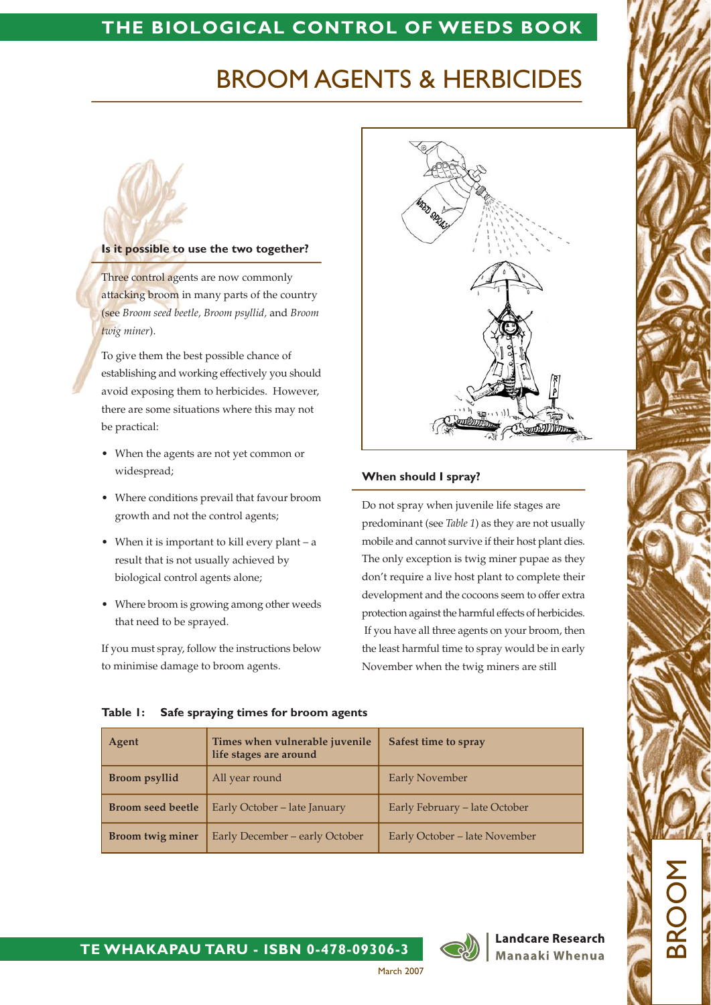# THE BIOLOGICAL CONTROL OF WEEDS BOOK

# **BROOM AGENTS & HERBICIDES**

### Is it possible to use the two together?

Three control agents are now commonly attacking broom in many parts of the country (see Broom seed beetle, Broom psyllid, and Broom twig miner).

To give them the best possible chance of establishing and working effectively you should avoid exposing them to herbicides. However, there are some situations where this may not be practical:

- When the agents are not yet common or widespread;
- Where conditions prevail that favour broom growth and not the control agents;
- When it is important to kill every plant  $-$  a result that is not usually achieved by biological control agents alone;
- Where broom is growing among other weeds that need to be sprayed.

If you must spray, follow the instructions below to minimise damage to broom agents.



# When should I spray?

Do not spray when juvenile life stages are predominant (see Table 1) as they are not usually mobile and cannot survive if their host plant dies. The only exception is twig miner pupae as they don't require a live host plant to complete their development and the cocoons seem to offer extra protection against the harmful effects of herbicides. If you have all three agents on your broom, then the least harmful time to spray would be in early November when the twig miners are still

|  | Table 1: Safe spraying times for broom agents |  |  |
|--|-----------------------------------------------|--|--|

| Agent                    | Times when vulnerable juvenile<br>life stages are around | Safest time to spray          |
|--------------------------|----------------------------------------------------------|-------------------------------|
| <b>Broom</b> psyllid     | All year round                                           | <b>Early November</b>         |
| <b>Broom seed beetle</b> | Early October - late January                             | Early February – late October |
| <b>Broom twig miner</b>  | Early December - early October                           | Early October - late November |



**Landcare Research** Manaaki Whenua

BRC

TE WHAKAPAU TARU - ISBN 0-478-09306-3

March 2007